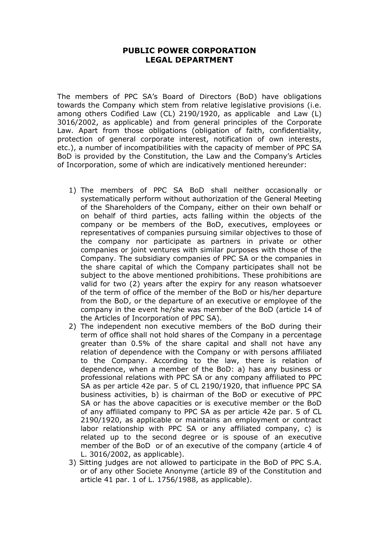## **PUBLIC POWER CORPORATION LEGAL DEPARTMENT**

The members of PPC SA's Board of Directors (BoD) have obligations towards the Company which stem from relative legislative provisions (i.e. among others Codified Law (CL) 2190/1920, as applicable and Law (L) 3016/2002, as applicable) and from general principles of the Corporate Law. Apart from those obligations (obligation of faith, confidentiality, protection of general corporate interest, notification of own interests, etc.), a number of incompatibilities with the capacity of member of PPC SA BoD is provided by the Constitution, the Law and the Company's Articles of Incorporation, some of which are indicatively mentioned hereunder:

- 1) The members of PPC SA BoD shall neither occasionally or systematically perform without authorization of the General Meeting of the Shareholders of the Company, either on their own behalf or on behalf of third parties, acts falling within the objects of the company or be members of the BoD, executives, employees or representatives of companies pursuing similar objectives to those of the company nor participate as partners in private or other companies or joint ventures with similar purposes with those of the Company. The subsidiary companies of PPC SA or the companies in the share capital of which the Company participates shall not be subject to the above mentioned prohibitions. These prohibitions are valid for two (2) years after the expiry for any reason whatsoever of the term of office of the member of the BoD or his/her departure from the BoD, or the departure of an executive or employee of the company in the event he/she was member of the BoD (article 14 of the Articles of Incorporation of PPC SA).
- 2) The independent non executive members of the BoD during their term of office shall not hold shares of the Company in a percentage greater than 0.5% of the share capital and shall not have any relation of dependence with the Company or with persons affiliated to the Company. According to the law, there is relation of dependence, when a member of the BoD: a) has any business or professional relations with PPC SA or any company affiliated to PPC SA as per article 42e par. 5 of CL 2190/1920, that influence PPC SA business activities, b) is chairman of the BoD or executive of PPC SA or has the above capacities or is executive member or the BoD of any affiliated company to PPC SA as per article 42e par. 5 of CL 2190/1920, as applicable or maintains an employment or contract labor relationship with PPC SA or any affiliated company, c) is related up to the second degree or is spouse of an executive member of the BoD or of an executive of the company (article 4 of L. 3016/2002, as applicable).
- 3) Sitting judges are not allowed to participate in the BoD of PPC S.A. or of any other Societe Anonyme (article 89 of the Constitution and article 41 par. 1 of L. 1756/1988, as applicable).